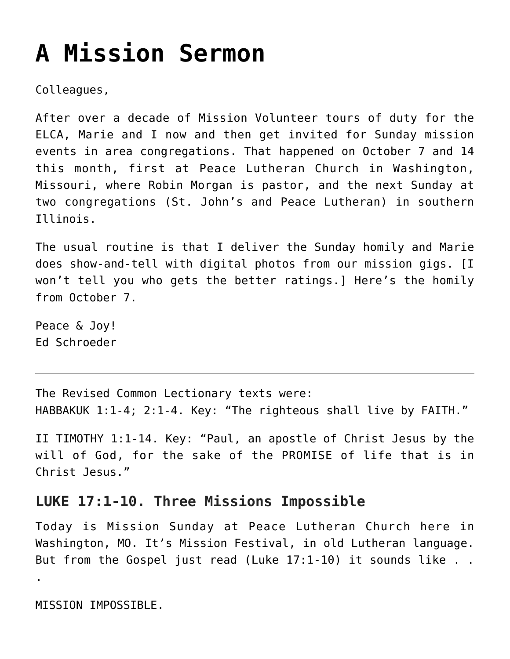## **[A Mission Sermon](https://crossings.org/a-mission-sermon/)**

Colleagues,

After over a decade of Mission Volunteer tours of duty for the ELCA, Marie and I now and then get invited for Sunday mission events in area congregations. That happened on October 7 and 14 this month, first at Peace Lutheran Church in Washington, Missouri, where Robin Morgan is pastor, and the next Sunday at two congregations (St. John's and Peace Lutheran) in southern Illinois.

The usual routine is that I deliver the Sunday homily and Marie does show-and-tell with digital photos from our mission gigs. [I won't tell you who gets the better ratings.] Here's the homily from October 7.

Peace & Joy! Ed Schroeder

The Revised Common Lectionary texts were: HABBAKUK 1:1-4; 2:1-4. Key: "The righteous shall live by FAITH."

II TIMOTHY 1:1-14. Key: "Paul, an apostle of Christ Jesus by the will of God, for the sake of the PROMISE of life that is in Christ Jesus."

## **LUKE 17:1-10. Three Missions Impossible**

Today is Mission Sunday at Peace Lutheran Church here in Washington, MO. It's Mission Festival, in old Lutheran language. But from the Gospel just read (Luke 17:1-10) it sounds like . .

MISSION IMPOSSIBLE.

.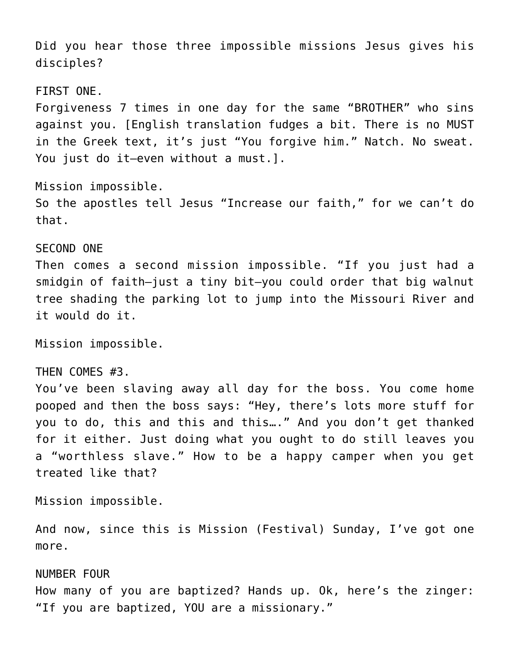Did you hear those three impossible missions Jesus gives his disciples?

FIRST ONE.

Forgiveness 7 times in one day for the same "BROTHER" who sins against you. [English translation fudges a bit. There is no MUST in the Greek text, it's just "You forgive him." Natch. No sweat. You just do it–even without a must.].

Mission impossible. So the apostles tell Jesus "Increase our faith," for we can't do that.

SECOND ONE Then comes a second mission impossible. "If you just had a smidgin of faith–just a tiny bit–you could order that big walnut tree shading the parking lot to jump into the Missouri River and it would do it.

Mission impossible.

THEN COMES #3. You've been slaving away all day for the boss. You come home pooped and then the boss says: "Hey, there's lots more stuff for you to do, this and this and this…." And you don't get thanked for it either. Just doing what you ought to do still leaves you a "worthless slave." How to be a happy camper when you get treated like that?

Mission impossible.

And now, since this is Mission (Festival) Sunday, I've got one more.

NUMBER FOUR

How many of you are baptized? Hands up. Ok, here's the zinger: "If you are baptized, YOU are a missionary."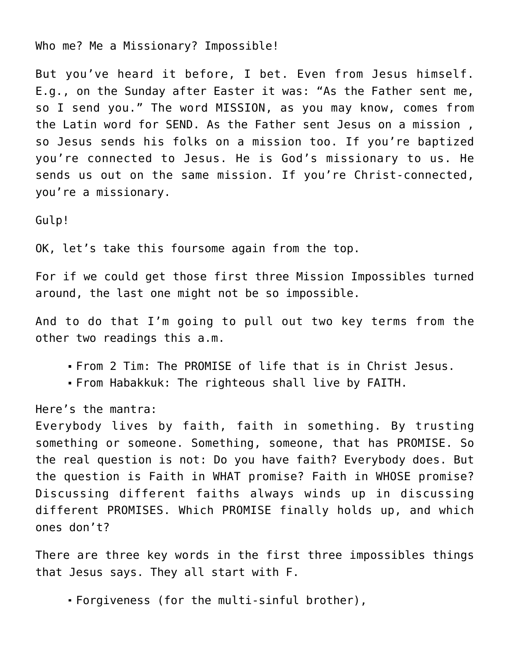Who me? Me a Missionary? Impossible!

But you've heard it before, I bet. Even from Jesus himself. E.g., on the Sunday after Easter it was: "As the Father sent me, so I send you." The word MISSION, as you may know, comes from the Latin word for SEND. As the Father sent Jesus on a mission , so Jesus sends his folks on a mission too. If you're baptized you're connected to Jesus. He is God's missionary to us. He sends us out on the same mission. If you're Christ-connected, you're a missionary.

Gulp!

OK, let's take this foursome again from the top.

For if we could get those first three Mission Impossibles turned around, the last one might not be so impossible.

And to do that I'm going to pull out two key terms from the other two readings this a.m.

- From 2 Tim: The PROMISE of life that is in Christ Jesus.
- From Habakkuk: The righteous shall live by FAITH.

Here's the mantra:

Everybody lives by faith, faith in something. By trusting something or someone. Something, someone, that has PROMISE. So the real question is not: Do you have faith? Everybody does. But the question is Faith in WHAT promise? Faith in WHOSE promise? Discussing different faiths always winds up in discussing different PROMISES. Which PROMISE finally holds up, and which ones don't?

There are three key words in the first three impossibles things that Jesus says. They all start with F.

Forgiveness (for the multi-sinful brother),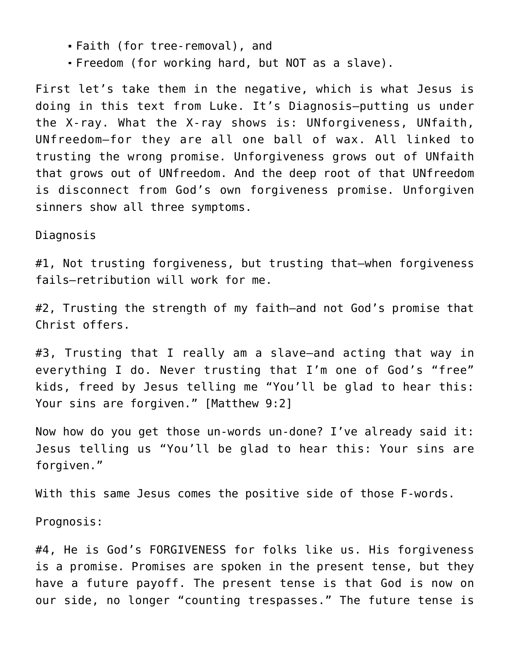- Faith (for tree-removal), and
- Freedom (for working hard, but NOT as a slave).

First let's take them in the negative, which is what Jesus is doing in this text from Luke. It's Diagnosis–putting us under the X-ray. What the X-ray shows is: UNforgiveness, UNfaith, UNfreedom–for they are all one ball of wax. All linked to trusting the wrong promise. Unforgiveness grows out of UNfaith that grows out of UNfreedom. And the deep root of that UNfreedom is disconnect from God's own forgiveness promise. Unforgiven sinners show all three symptoms.

## Diagnosis

#1, Not trusting forgiveness, but trusting that-when forgiveness fails–retribution will work for me.

#2, Trusting the strength of my faith–and not God's promise that Christ offers.

#3, Trusting that I really am a slave–and acting that way in everything I do. Never trusting that I'm one of God's "free" kids, freed by Jesus telling me "You'll be glad to hear this: Your sins are forgiven." [Matthew 9:2]

Now how do you get those un-words un-done? I've already said it: Jesus telling us "You'll be glad to hear this: Your sins are forgiven."

With this same Jesus comes the positive side of those F-words.

Prognosis:

#4, He is God's FORGIVENESS for folks like us. His forgiveness is a promise. Promises are spoken in the present tense, but they have a future payoff. The present tense is that God is now on our side, no longer "counting trespasses." The future tense is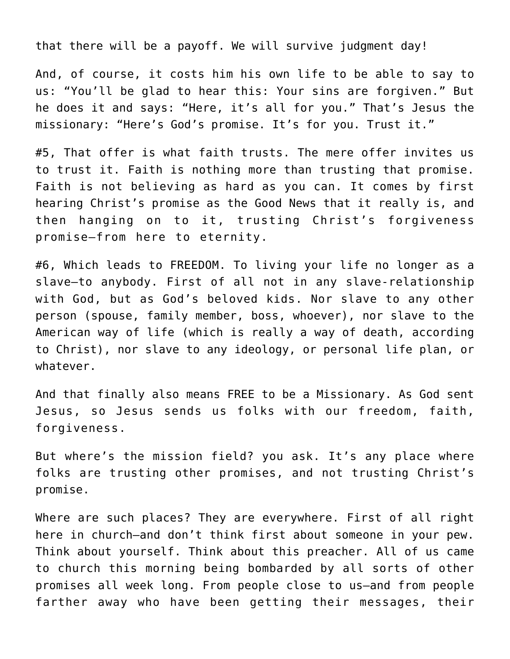that there will be a payoff. We will survive judgment day!

And, of course, it costs him his own life to be able to say to us: "You'll be glad to hear this: Your sins are forgiven." But he does it and says: "Here, it's all for you." That's Jesus the missionary: "Here's God's promise. It's for you. Trust it."

#5, That offer is what faith trusts. The mere offer invites us to trust it. Faith is nothing more than trusting that promise. Faith is not believing as hard as you can. It comes by first hearing Christ's promise as the Good News that it really is, and then hanging on to it, trusting Christ's forgiveness promise–from here to eternity.

#6, Which leads to FREEDOM. To living your life no longer as a slave–to anybody. First of all not in any slave-relationship with God, but as God's beloved kids. Nor slave to any other person (spouse, family member, boss, whoever), nor slave to the American way of life (which is really a way of death, according to Christ), nor slave to any ideology, or personal life plan, or whatever.

And that finally also means FREE to be a Missionary. As God sent Jesus, so Jesus sends us folks with our freedom, faith, forgiveness.

But where's the mission field? you ask. It's any place where folks are trusting other promises, and not trusting Christ's promise.

Where are such places? They are everywhere. First of all right here in church–and don't think first about someone in your pew. Think about yourself. Think about this preacher. All of us came to church this morning being bombarded by all sorts of other promises all week long. From people close to us–and from people farther away who have been getting their messages, their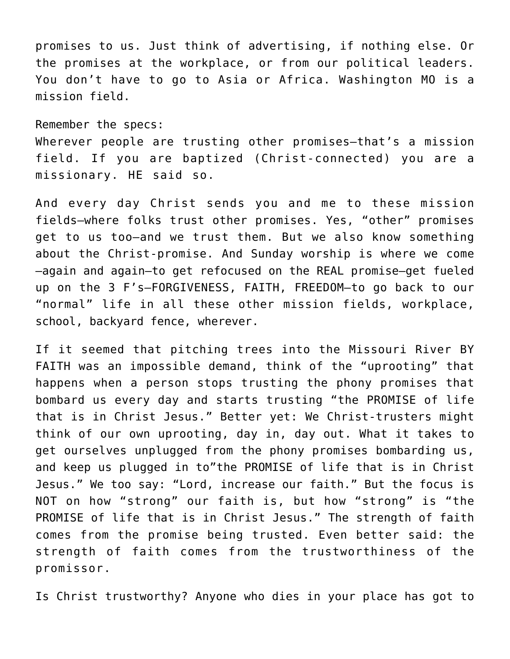promises to us. Just think of advertising, if nothing else. Or the promises at the workplace, or from our political leaders. You don't have to go to Asia or Africa. Washington MO is a mission field.

Remember the specs:

Wherever people are trusting other promises–that's a mission field. If you are baptized (Christ-connected) you are a missionary. HE said so.

And every day Christ sends you and me to these mission fields–where folks trust other promises. Yes, "other" promises get to us too–and we trust them. But we also know something about the Christ-promise. And Sunday worship is where we come –again and again–to get refocused on the REAL promise–get fueled up on the 3 F's–FORGIVENESS, FAITH, FREEDOM–to go back to our "normal" life in all these other mission fields, workplace, school, backyard fence, wherever.

If it seemed that pitching trees into the Missouri River BY FAITH was an impossible demand, think of the "uprooting" that happens when a person stops trusting the phony promises that bombard us every day and starts trusting "the PROMISE of life that is in Christ Jesus." Better yet: We Christ-trusters might think of our own uprooting, day in, day out. What it takes to get ourselves unplugged from the phony promises bombarding us, and keep us plugged in to"the PROMISE of life that is in Christ Jesus." We too say: "Lord, increase our faith." But the focus is NOT on how "strong" our faith is, but how "strong" is "the PROMISE of life that is in Christ Jesus." The strength of faith comes from the promise being trusted. Even better said: the strength of faith comes from the trustworthiness of the promissor.

Is Christ trustworthy? Anyone who dies in your place has got to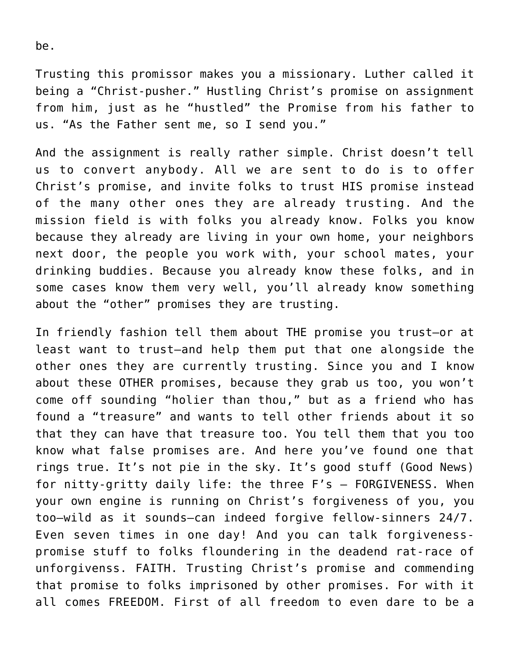Trusting this promissor makes you a missionary. Luther called it being a "Christ-pusher." Hustling Christ's promise on assignment from him, just as he "hustled" the Promise from his father to us. "As the Father sent me, so I send you."

And the assignment is really rather simple. Christ doesn't tell us to convert anybody. All we are sent to do is to offer Christ's promise, and invite folks to trust HIS promise instead of the many other ones they are already trusting. And the mission field is with folks you already know. Folks you know because they already are living in your own home, your neighbors next door, the people you work with, your school mates, your drinking buddies. Because you already know these folks, and in some cases know them very well, you'll already know something about the "other" promises they are trusting.

In friendly fashion tell them about THE promise you trust–or at least want to trust–and help them put that one alongside the other ones they are currently trusting. Since you and I know about these OTHER promises, because they grab us too, you won't come off sounding "holier than thou," but as a friend who has found a "treasure" and wants to tell other friends about it so that they can have that treasure too. You tell them that you too know what false promises are. And here you've found one that rings true. It's not pie in the sky. It's good stuff (Good News) for nitty-gritty daily life: the three F's — FORGIVENESS. When your own engine is running on Christ's forgiveness of you, you too–wild as it sounds–can indeed forgive fellow-sinners 24/7. Even seven times in one day! And you can talk forgivenesspromise stuff to folks floundering in the deadend rat-race of unforgivenss. FAITH. Trusting Christ's promise and commending that promise to folks imprisoned by other promises. For with it all comes FREEDOM. First of all freedom to even dare to be a

be.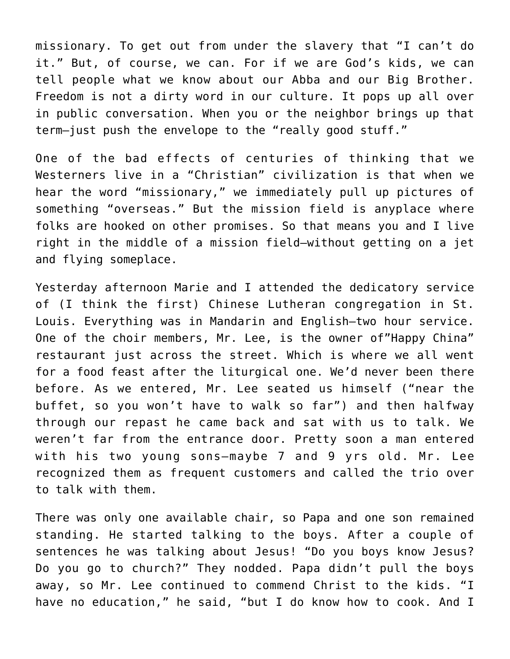missionary. To get out from under the slavery that "I can't do it." But, of course, we can. For if we are God's kids, we can tell people what we know about our Abba and our Big Brother. Freedom is not a dirty word in our culture. It pops up all over in public conversation. When you or the neighbor brings up that term–just push the envelope to the "really good stuff."

One of the bad effects of centuries of thinking that we Westerners live in a "Christian" civilization is that when we hear the word "missionary," we immediately pull up pictures of something "overseas." But the mission field is anyplace where folks are hooked on other promises. So that means you and I live right in the middle of a mission field–without getting on a jet and flying someplace.

Yesterday afternoon Marie and I attended the dedicatory service of (I think the first) Chinese Lutheran congregation in St. Louis. Everything was in Mandarin and English–two hour service. One of the choir members, Mr. Lee, is the owner of"Happy China" restaurant just across the street. Which is where we all went for a food feast after the liturgical one. We'd never been there before. As we entered, Mr. Lee seated us himself ("near the buffet, so you won't have to walk so far") and then halfway through our repast he came back and sat with us to talk. We weren't far from the entrance door. Pretty soon a man entered with his two young sons–maybe 7 and 9 yrs old. Mr. Lee recognized them as frequent customers and called the trio over to talk with them.

There was only one available chair, so Papa and one son remained standing. He started talking to the boys. After a couple of sentences he was talking about Jesus! "Do you boys know Jesus? Do you go to church?" They nodded. Papa didn't pull the boys away, so Mr. Lee continued to commend Christ to the kids. "I have no education," he said, "but I do know how to cook. And I